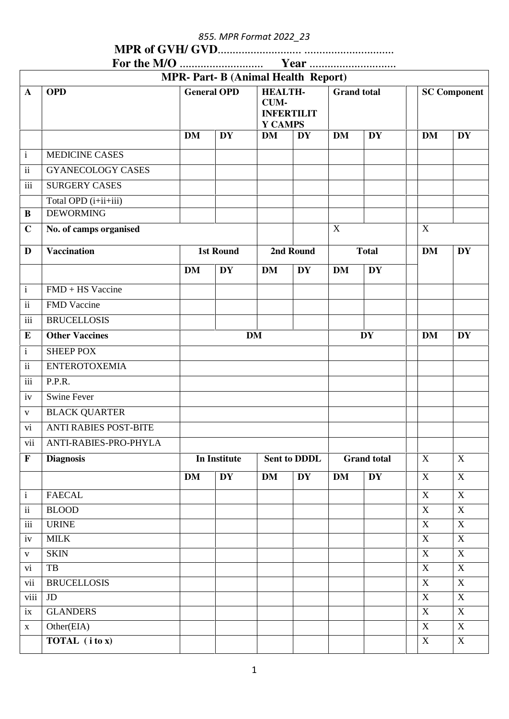855. MPR Format 2022\_23

| $\Gamma_{\alpha\mu}$ the MIA | $V_{\mathbf{a}}$ |
|------------------------------|------------------|

|                          |                               |                                               | <b>MPR-Part-B (Animal Health Report)</b> |                                                        |                     |                    |           |                  |                     |
|--------------------------|-------------------------------|-----------------------------------------------|------------------------------------------|--------------------------------------------------------|---------------------|--------------------|-----------|------------------|---------------------|
| $\mathbf{A}$             | <b>OPD</b>                    | <b>General OPD</b>                            |                                          | <b>HEALTH-</b><br>CUM-<br><b>INFERTILIT</b><br>Y CAMPS |                     | <b>Grand</b> total |           |                  | <b>SC Component</b> |
|                          |                               | <b>DM</b>                                     | <b>DY</b>                                | <b>DM</b>                                              | <b>DY</b>           | <b>DM</b>          | <b>DY</b> | <b>DM</b>        | <b>DY</b>           |
| $\mathbf{i}$             | <b>MEDICINE CASES</b>         |                                               |                                          |                                                        |                     |                    |           |                  |                     |
| $\rm ii$                 | <b>GYANECOLOGY CASES</b>      |                                               |                                          |                                                        |                     |                    |           |                  |                     |
| iii                      | <b>SURGERY CASES</b>          |                                               |                                          |                                                        |                     |                    |           |                  |                     |
|                          | Total OPD (i+ii+iii)          |                                               |                                          |                                                        |                     |                    |           |                  |                     |
| $\, {\bf B}$             | <b>DEWORMING</b>              |                                               |                                          |                                                        |                     |                    |           |                  |                     |
| $\mathbf C$              | No. of camps organised        |                                               |                                          |                                                        |                     | X                  |           | $\mathbf X$      |                     |
| D                        | <b>Vaccination</b>            | <b>1st Round</b><br>2nd Round<br><b>Total</b> |                                          | <b>DM</b>                                              | <b>DY</b>           |                    |           |                  |                     |
|                          |                               | <b>DM</b>                                     | <b>DY</b>                                | <b>DM</b>                                              | <b>DY</b>           | <b>DM</b>          | <b>DY</b> |                  |                     |
| $\mathbf{i}$             | $FMD + HS$ Vaccine            |                                               |                                          |                                                        |                     |                    |           |                  |                     |
| $\mathbf{ii}$            | FMD Vaccine                   |                                               |                                          |                                                        |                     |                    |           |                  |                     |
| iii                      | <b>BRUCELLOSIS</b>            |                                               |                                          |                                                        |                     |                    |           |                  |                     |
| E                        | <b>Other Vaccines</b>         |                                               |                                          | <b>DM</b>                                              |                     |                    | <b>DY</b> | <b>DM</b>        | <b>DY</b>           |
| $\mathbf{i}$             | <b>SHEEP POX</b>              |                                               |                                          |                                                        |                     |                    |           |                  |                     |
| $\mathbf{ii}$            | <b>ENTEROTOXEMIA</b>          |                                               |                                          |                                                        |                     |                    |           |                  |                     |
| iii                      | P.P.R.                        |                                               |                                          |                                                        |                     |                    |           |                  |                     |
| iv                       | <b>Swine Fever</b>            |                                               |                                          |                                                        |                     |                    |           |                  |                     |
| $\mathbf{V}$             | <b>BLACK QUARTER</b>          |                                               |                                          |                                                        |                     |                    |           |                  |                     |
| vi                       | <b>ANTI RABIES POST-BITE</b>  |                                               |                                          |                                                        |                     |                    |           |                  |                     |
| vii                      | ANTI-RABIES-PRO-PHYLA         |                                               |                                          |                                                        |                     |                    |           |                  |                     |
| $\mathbf F$              | <b>Diagnosis</b>              |                                               | <b>In Institute</b>                      |                                                        | <b>Sent to DDDL</b> | <b>Grand</b> total |           | $\mathbf X$      | $\mathbf X$         |
|                          |                               | <b>DM</b>                                     | <b>DY</b>                                | <b>DM</b>                                              | <b>DY</b>           | <b>DM</b>          | <b>DY</b> | X                | $\mathbf X$         |
| $\mathbf{i}$             | <b>FAECAL</b>                 |                                               |                                          |                                                        |                     |                    |           | $\mathbf X$      | $\mathbf X$         |
| $\overline{\textbf{ii}}$ | <b>BLOOD</b>                  |                                               |                                          |                                                        |                     |                    |           | $\mathbf X$      | X                   |
| iii                      | <b>URINE</b>                  |                                               |                                          |                                                        |                     |                    |           | X                | $\mathbf X$         |
| iv                       | <b>MILK</b>                   |                                               |                                          |                                                        |                     |                    |           | X                | X                   |
| $\mathbf{V}$             | <b>SKIN</b>                   |                                               |                                          |                                                        |                     |                    |           | X                | $\mathbf X$         |
| vi                       | $\rm{TB}$                     |                                               |                                          |                                                        |                     |                    |           | $\mathbf X$      | $\mathbf X$         |
| vii                      | <b>BRUCELLOSIS</b>            |                                               |                                          |                                                        |                     |                    |           | $\mathbf X$      | $\mathbf X$         |
| viii                     | <b>JD</b>                     |                                               |                                          |                                                        |                     |                    |           | X                | $\mathbf X$         |
| ix                       | <b>GLANDERS</b><br>Other(EIA) |                                               |                                          |                                                        |                     |                    |           | $\mathbf X$<br>X | $\mathbf X$<br>X    |
| $\mathbf X$              | TOTAL (i to x)                |                                               |                                          |                                                        |                     |                    |           | X                | $\boldsymbol{X}$    |
|                          |                               |                                               |                                          |                                                        |                     |                    |           |                  |                     |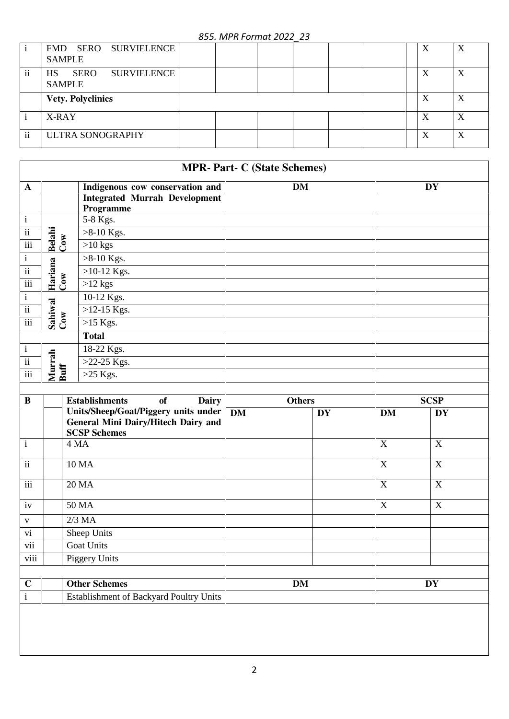## 855. MPR Format 2022\_23

|               | FMD SERO SURVIELENCE<br><b>SAMPLE</b>                           | X | X |
|---------------|-----------------------------------------------------------------|---|---|
| $\mathbf{ii}$ | <b>SERO</b><br><b>SURVIELENCE</b><br><b>HS</b><br><b>SAMPLE</b> | X | X |
|               | <b>Vety. Polyclinics</b>                                        | X | X |
|               | X-RAY                                                           | X | X |
| ii            | <b>ULTRA SONOGRAPHY</b>                                         | X | X |

|                 |                |                                                                                      | <b>MPR- Part- C (State Schemes)</b> |           |
|-----------------|----------------|--------------------------------------------------------------------------------------|-------------------------------------|-----------|
| $\mathbf{A}$    |                | Indigenous cow conservation and<br><b>Integrated Murrah Development</b><br>Programme | DM                                  | <b>DY</b> |
| $\mathbf{1}$    |                | 5-8 Kgs.                                                                             |                                     |           |
| $\mathbf{ii}$   | <b>Belahi</b>  | $>8-10$ Kgs.                                                                         |                                     |           |
| iii             | Cow            | $>10$ kgs                                                                            |                                     |           |
| $\mathbf{i}$    |                | $>8-10$ Kgs.                                                                         |                                     |           |
| ii              | Hariana        | $>10-12$ Kgs.                                                                        |                                     |           |
| iii             | Cow            | $>12$ kgs                                                                            |                                     |           |
| $\mathbf{i}$    |                | 10-12 Kgs.                                                                           |                                     |           |
| ii              |                | $>12-15$ Kgs.                                                                        |                                     |           |
| iii             | Sahiwal<br>Cow | $>15$ Kgs.                                                                           |                                     |           |
|                 |                | <b>Total</b>                                                                         |                                     |           |
| $\mathbf{i}$    |                | 18-22 Kgs.                                                                           |                                     |           |
| $\overline{ii}$ | Murrah         | $>22-25$ Kgs.                                                                        |                                     |           |
| $\cdots$<br>111 | Buff           | $>25$ Kgs.                                                                           |                                     |           |

| $\bf{B}$                | <b>Establishments</b><br><b>Dairy</b><br>of                                                        |           | <b>Others</b> |                  | <b>SCSP</b>      |  |  |
|-------------------------|----------------------------------------------------------------------------------------------------|-----------|---------------|------------------|------------------|--|--|
|                         | Units/Sheep/Goat/Piggery units under<br>General Mini Dairy/Hitech Dairy and<br><b>SCSP Schemes</b> | <b>DM</b> | <b>DY</b>     | <b>DM</b>        | <b>DY</b>        |  |  |
| $\mathbf{i}$            | 4 MA                                                                                               |           |               | $\boldsymbol{X}$ | X                |  |  |
| $\overline{ii}$         | 10 MA                                                                                              |           |               | $\mathbf X$      | $\boldsymbol{X}$ |  |  |
| $\overline{\text{iii}}$ | 20 MA                                                                                              |           |               | $\mathbf X$      | X                |  |  |
| iv                      | 50 MA                                                                                              |           |               | $\mathbf X$      | X                |  |  |
| $\mathbf{V}$            | $2/3$ MA                                                                                           |           |               |                  |                  |  |  |
| vi                      | Sheep Units                                                                                        |           |               |                  |                  |  |  |
| vii                     | <b>Goat Units</b>                                                                                  |           |               |                  |                  |  |  |
| viii                    | Piggery Units                                                                                      |           |               |                  |                  |  |  |
|                         |                                                                                                    |           |               |                  |                  |  |  |
| $\mathbf C$             | <b>Other Schemes</b>                                                                               |           | <b>DM</b>     |                  | <b>DY</b>        |  |  |
| $\mathbf{i}$            | Establishment of Backyard Poultry Units                                                            |           |               |                  |                  |  |  |
|                         |                                                                                                    |           |               |                  |                  |  |  |